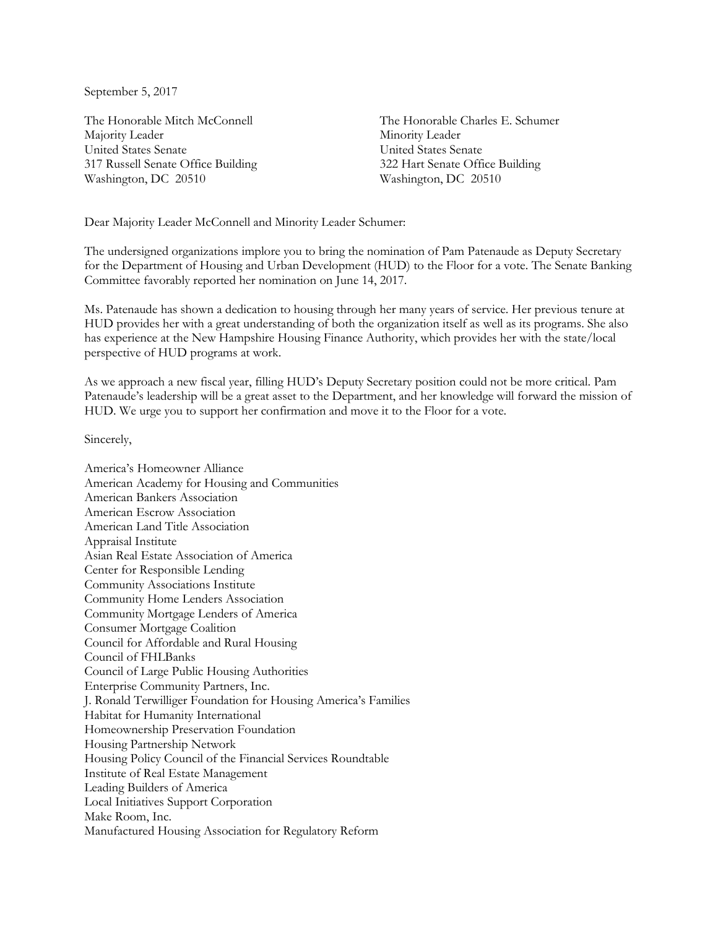September 5, 2017

The Honorable Mitch McConnell Majority Leader United States Senate 317 Russell Senate Office Building Washington, DC 20510

The Honorable Charles E. Schumer Minority Leader United States Senate 322 Hart Senate Office Building Washington, DC 20510

Dear Majority Leader McConnell and Minority Leader Schumer:

The undersigned organizations implore you to bring the nomination of Pam Patenaude as Deputy Secretary for the Department of Housing and Urban Development (HUD) to the Floor for a vote. The Senate Banking Committee favorably reported her nomination on June 14, 2017.

Ms. Patenaude has shown a dedication to housing through her many years of service. Her previous tenure at HUD provides her with a great understanding of both the organization itself as well as its programs. She also has experience at the New Hampshire Housing Finance Authority, which provides her with the state/local perspective of HUD programs at work.

As we approach a new fiscal year, filling HUD's Deputy Secretary position could not be more critical. Pam Patenaude's leadership will be a great asset to the Department, and her knowledge will forward the mission of HUD. We urge you to support her confirmation and move it to the Floor for a vote.

Sincerely,

America's Homeowner Alliance American Academy for Housing and Communities American Bankers Association American Escrow Association American Land Title Association Appraisal Institute Asian Real Estate Association of America Center for Responsible Lending Community Associations Institute Community Home Lenders Association Community Mortgage Lenders of America Consumer Mortgage Coalition Council for Affordable and Rural Housing Council of FHLBanks Council of Large Public Housing Authorities Enterprise Community Partners, Inc. J. Ronald Terwilliger Foundation for Housing America's Families Habitat for Humanity International Homeownership Preservation Foundation Housing Partnership Network Housing Policy Council of the Financial Services Roundtable Institute of Real Estate Management Leading Builders of America Local Initiatives Support Corporation Make Room, Inc. Manufactured Housing Association for Regulatory Reform